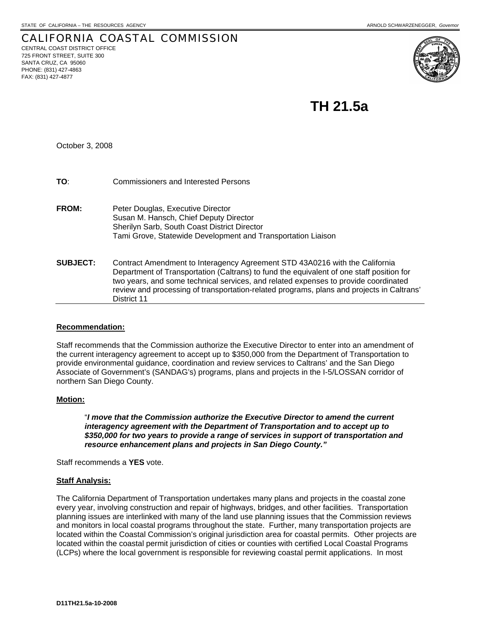#### CALIFORNIA COASTAL COMMISSION CENTRAL COAST DISTRICT OFFICE 725 FRONT STREET, SUITE 300 SANTA CRUZ, CA 95060 PHONE: (831) 427-4863 FAX: (831) 427-4877



 **TH 21.5a** 

October 3, 2008

| TO:             | <b>Commissioners and Interested Persons</b>                                                                                                                                                                                                                                                                                                                                |
|-----------------|----------------------------------------------------------------------------------------------------------------------------------------------------------------------------------------------------------------------------------------------------------------------------------------------------------------------------------------------------------------------------|
| <b>FROM:</b>    | Peter Douglas, Executive Director<br>Susan M. Hansch, Chief Deputy Director<br>Sherilyn Sarb, South Coast District Director<br>Tami Grove, Statewide Development and Transportation Liaison                                                                                                                                                                                |
| <b>SUBJECT:</b> | Contract Amendment to Interagency Agreement STD 43A0216 with the California<br>Department of Transportation (Caltrans) to fund the equivalent of one staff position for<br>two years, and some technical services, and related expenses to provide coordinated<br>review and processing of transportation-related programs, plans and projects in Caltrans'<br>District 11 |

# **Recommendation:**

Staff recommends that the Commission authorize the Executive Director to enter into an amendment of the current interagency agreement to accept up to \$350,000 from the Department of Transportation to provide environmental guidance, coordination and review services to Caltrans' and the San Diego Associate of Government's (SANDAG's) programs, plans and projects in the I-5/LOSSAN corridor of northern San Diego County.

### **Motion:**

 "*I move that the Commission authorize the Executive Director to amend the current interagency agreement with the Department of Transportation and to accept up to \$350,000 for two years to provide a range of services in support of transportation and resource enhancement plans and projects in San Diego County."*

Staff recommends a **YES** vote.

# **Staff Analysis:**

The California Department of Transportation undertakes many plans and projects in the coastal zone every year, involving construction and repair of highways, bridges, and other facilities. Transportation planning issues are interlinked with many of the land use planning issues that the Commission reviews and monitors in local coastal programs throughout the state. Further, many transportation projects are located within the Coastal Commission's original jurisdiction area for coastal permits. Other projects are located within the coastal permit jurisdiction of cities or counties with certified Local Coastal Programs (LCPs) where the local government is responsible for reviewing coastal permit applications. In most